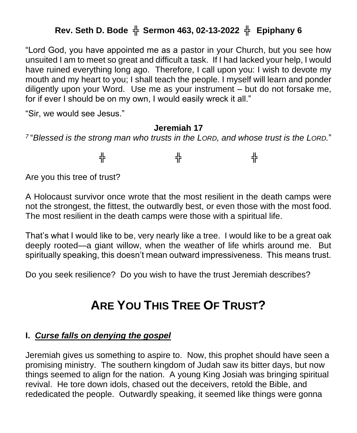## **Rev. Seth D. Bode** ╬ **Sermon 463, 02-13-2022** ╬ **Epiphany 6**

"Lord God, you have appointed me as a pastor in your Church, but you see how unsuited I am to meet so great and difficult a task. If I had lacked your help, I would have ruined everything long ago. Therefore, I call upon you: I wish to devote my mouth and my heart to you; I shall teach the people. I myself will learn and ponder diligently upon your Word. Use me as your instrument – but do not forsake me, for if ever I should be on my own, I would easily wreck it all."

"Sir, we would see Jesus."

#### **Jeremiah 17**

*7* "*Blessed is the strong man who trusts in the LORD, and whose trust is the LORD.*"

╬ ╬ ╬

Are you this tree of trust?

A Holocaust survivor once wrote that the most resilient in the death camps were not the strongest, the fittest, the outwardly best, or even those with the most food. The most resilient in the death camps were those with a spiritual life.

That's what I would like to be, very nearly like a tree. I would like to be a great oak deeply rooted—a giant willow, when the weather of life whirls around me. But spiritually speaking, this doesn't mean outward impressiveness. This means trust.

Do you seek resilience? Do you wish to have the trust Jeremiah describes?

# **ARE YOU THIS TREE OF TRUST?**

### **I.** *Curse falls on denying the gospel*

Jeremiah gives us something to aspire to. Now, this prophet should have seen a promising ministry. The southern kingdom of Judah saw its bitter days, but now things seemed to align for the nation. A young King Josiah was bringing spiritual revival. He tore down idols, chased out the deceivers, retold the Bible, and rededicated the people. Outwardly speaking, it seemed like things were gonna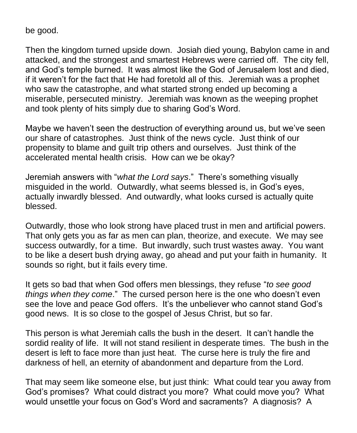be good.

Then the kingdom turned upside down. Josiah died young, Babylon came in and attacked, and the strongest and smartest Hebrews were carried off. The city fell, and God's temple burned. It was almost like the God of Jerusalem lost and died, if it weren't for the fact that He had foretold all of this. Jeremiah was a prophet who saw the catastrophe, and what started strong ended up becoming a miserable, persecuted ministry. Jeremiah was known as the weeping prophet and took plenty of hits simply due to sharing God's Word.

Maybe we haven't seen the destruction of everything around us, but we've seen our share of catastrophes. Just think of the news cycle. Just think of our propensity to blame and guilt trip others and ourselves. Just think of the accelerated mental health crisis. How can we be okay?

Jeremiah answers with "*what the Lord says*." There's something visually misguided in the world. Outwardly, what seems blessed is, in God's eyes, actually inwardly blessed. And outwardly, what looks cursed is actually quite blessed.

Outwardly, those who look strong have placed trust in men and artificial powers. That only gets you as far as men can plan, theorize, and execute. We may see success outwardly, for a time. But inwardly, such trust wastes away. You want to be like a desert bush drying away, go ahead and put your faith in humanity. It sounds so right, but it fails every time.

It gets so bad that when God offers men blessings, they refuse "*to see good things when they come*." The cursed person here is the one who doesn't even see the love and peace God offers. It's the unbeliever who cannot stand God's good news. It is so close to the gospel of Jesus Christ, but so far.

This person is what Jeremiah calls the bush in the desert. It can't handle the sordid reality of life. It will not stand resilient in desperate times. The bush in the desert is left to face more than just heat. The curse here is truly the fire and darkness of hell, an eternity of abandonment and departure from the Lord.

That may seem like someone else, but just think: What could tear you away from God's promises? What could distract you more? What could move you? What would unsettle your focus on God's Word and sacraments? A diagnosis? A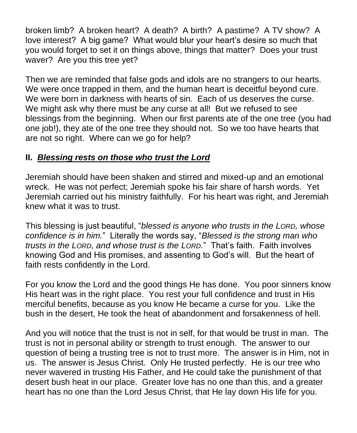broken limb? A broken heart? A death? A birth? A pastime? A TV show? A love interest? A big game? What would blur your heart's desire so much that you would forget to set it on things above, things that matter? Does your trust waver? Are you this tree yet?

Then we are reminded that false gods and idols are no strangers to our hearts. We were once trapped in them, and the human heart is deceitful beyond cure. We were born in darkness with hearts of sin. Each of us deserves the curse. We might ask why there must be any curse at all! But we refused to see blessings from the beginning. When our first parents ate of the one tree (you had one job!), they ate of the one tree they should not. So we too have hearts that are not so right. Where can we go for help?

### **II.** *Blessing rests on those who trust the Lord*

Jeremiah should have been shaken and stirred and mixed-up and an emotional wreck. He was not perfect; Jeremiah spoke his fair share of harsh words. Yet Jeremiah carried out his ministry faithfully. For his heart was right, and Jeremiah knew what it was to trust.

This blessing is just beautiful, "*blessed is anyone who trusts in the LORD, whose confidence is in him.*" Literally the words say, "*Blessed is the strong man who trusts in the LORD, and whose trust is the LORD.*" That's faith. Faith involves knowing God and His promises, and assenting to God's will. But the heart of faith rests confidently in the Lord.

For you know the Lord and the good things He has done. You poor sinners know His heart was in the right place. You rest your full confidence and trust in His merciful benefits, because as you know He became a curse for you. Like the bush in the desert, He took the heat of abandonment and forsakenness of hell.

And you will notice that the trust is not in self, for that would be trust in man. The trust is not in personal ability or strength to trust enough. The answer to our question of being a trusting tree is not to trust more. The answer is in Him, not in us. The answer is Jesus Christ. Only He trusted perfectly. He is our tree who never wavered in trusting His Father, and He could take the punishment of that desert bush heat in our place. Greater love has no one than this, and a greater heart has no one than the Lord Jesus Christ, that He lay down His life for you.